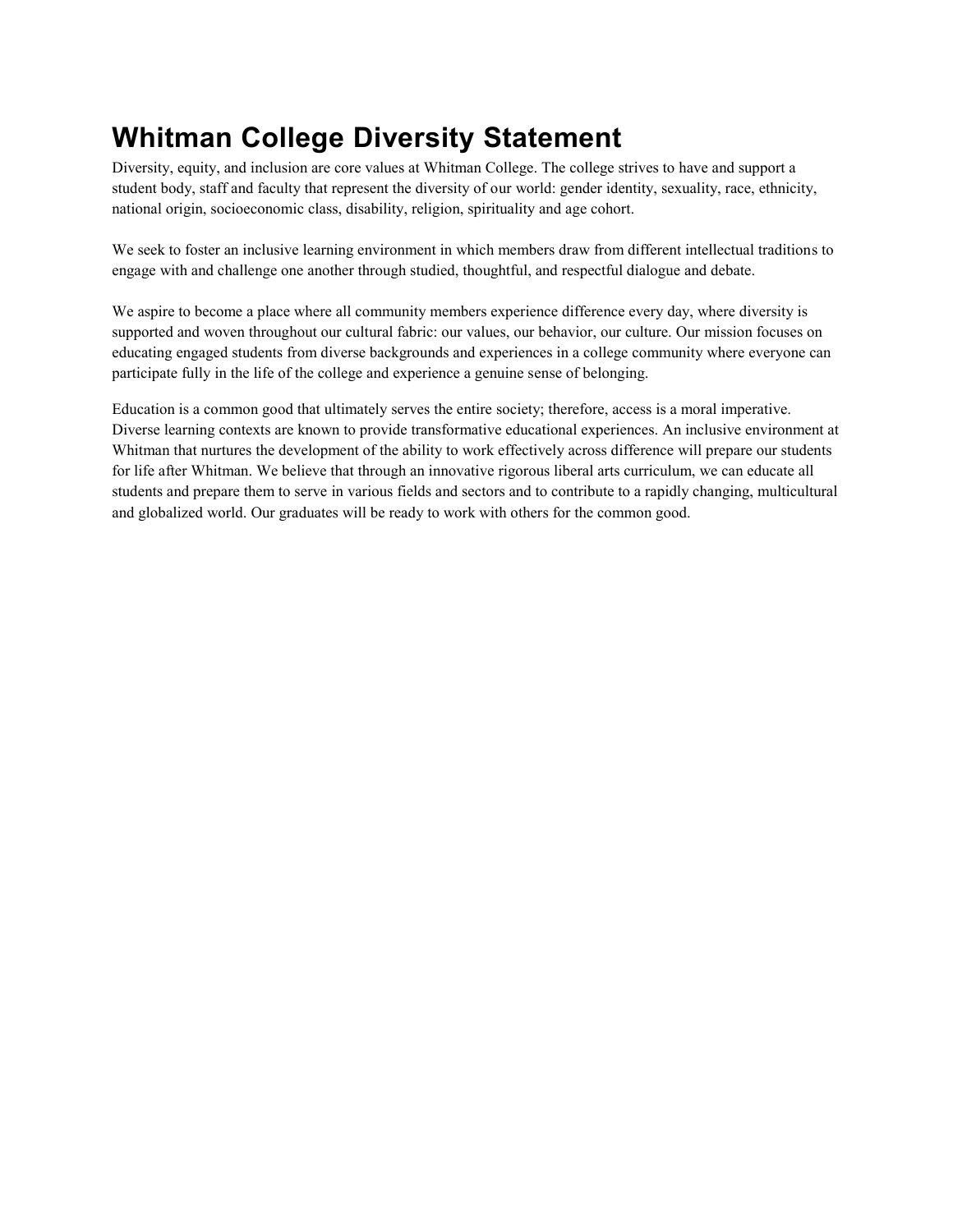## **Whitman College Diversity Statement**

Diversity, equity, and inclusion are core values at Whitman College. The college strives to have and support a student body, staff and faculty that represent the diversity of our world: gender identity, sexuality, race, ethnicity, national origin, socioeconomic class, disability, religion, spirituality and age cohort.

We seek to foster an inclusive learning environment in which members draw from different intellectual traditions to engage with and challenge one another through studied, thoughtful, and respectful dialogue and debate.

We aspire to become a place where all community members experience difference every day, where diversity is supported and woven throughout our cultural fabric: our values, our behavior, our culture. Our mission focuses on educating engaged students from diverse backgrounds and experiences in a college community where everyone can participate fully in the life of the college and experience a genuine sense of belonging.

Education is a common good that ultimately serves the entire society; therefore, access is a moral imperative. Diverse learning contexts are known to provide transformative educational experiences. An inclusive environment at Whitman that nurtures the development of the ability to work effectively across difference will prepare our students for life after Whitman. We believe that through an innovative rigorous liberal arts curriculum, we can educate all students and prepare them to serve in various fields and sectors and to contribute to a rapidly changing, multicultural and globalized world. Our graduates will be ready to work with others for the common good.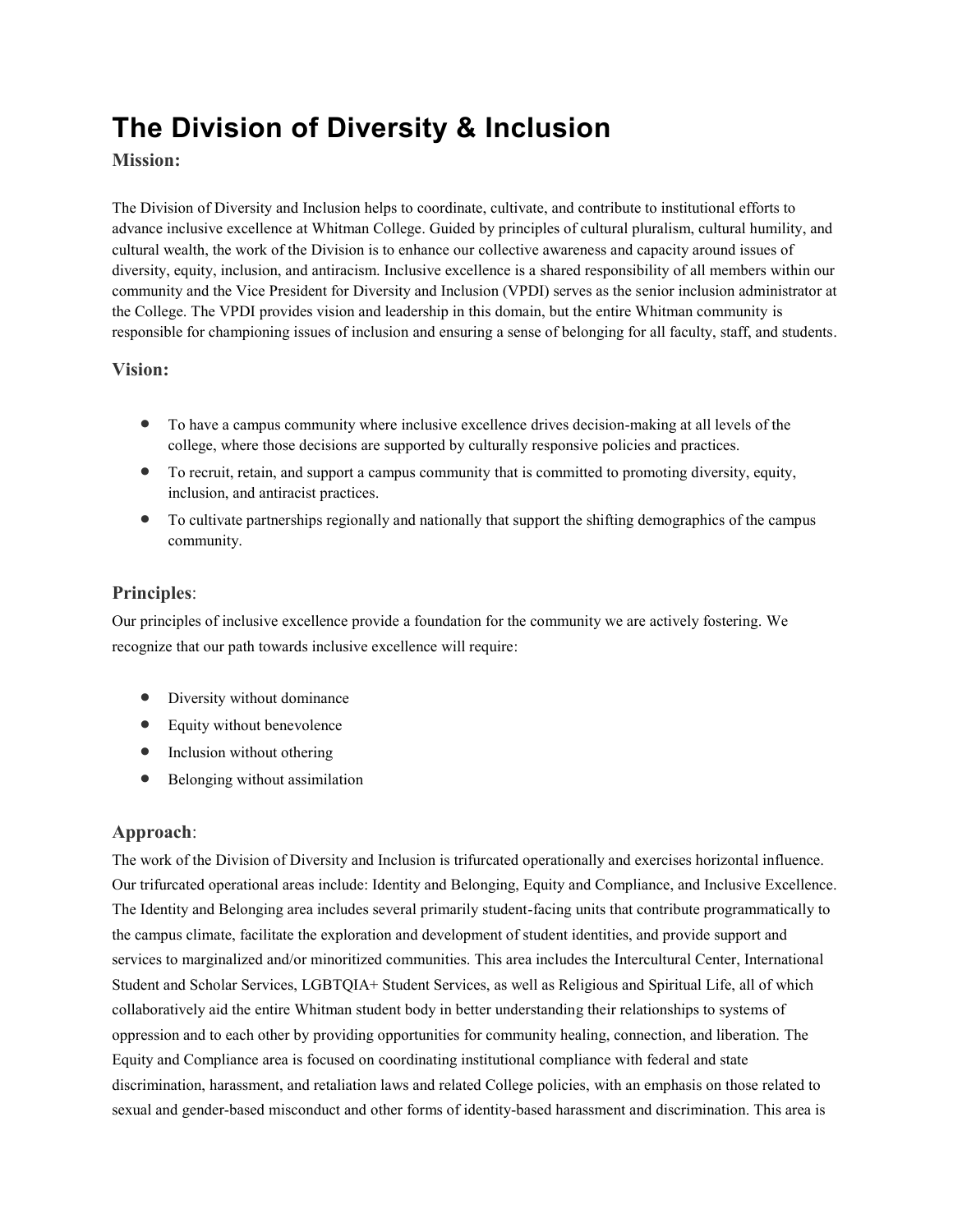# **The Division of Diversity & Inclusion**

#### **Mission:**

The Division of Diversity and Inclusion helps to coordinate, cultivate, and contribute to institutional efforts to advance inclusive excellence at Whitman College. Guided by principles of cultural pluralism, cultural humility, and cultural wealth, the work of the Division is to enhance our collective awareness and capacity around issues of diversity, equity, inclusion, and antiracism. Inclusive excellence is a shared responsibility of all members within our community and the Vice President for Diversity and Inclusion (VPDI) serves as the senior inclusion administrator at the College. The VPDI provides vision and leadership in this domain, but the entire Whitman community is responsible for championing issues of inclusion and ensuring a sense of belonging for all faculty, staff, and students.

#### **Vision:**

- To have a campus community where inclusive excellence drives decision-making at all levels of the college, where those decisions are supported by culturally responsive policies and practices.
- To recruit, retain, and support a campus community that is committed to promoting diversity, equity, inclusion, and antiracist practices.
- To cultivate partnerships regionally and nationally that support the shifting demographics of the campus community.

#### **Principles**:

Our principles of inclusive excellence provide a foundation for the community we are actively fostering. We recognize that our path towards inclusive excellence will require:

- Diversity without dominance
- Equity without benevolence
- Inclusion without othering
- Belonging without assimilation

#### **Approach**:

The work of the Division of Diversity and Inclusion is trifurcated operationally and exercises horizontal influence. Our trifurcated operational areas include: Identity and Belonging, Equity and Compliance, and Inclusive Excellence. The Identity and Belonging area includes several primarily student-facing units that contribute programmatically to the campus climate, facilitate the exploration and development of student identities, and provide support and services to marginalized and/or minoritized communities. This area includes the Intercultural Center, International Student and Scholar Services, LGBTQIA+ Student Services, as well as Religious and Spiritual Life, all of which collaboratively aid the entire Whitman student body in better understanding their relationships to systems of oppression and to each other by providing opportunities for community healing, connection, and liberation. The Equity and Compliance area is focused on coordinating institutional compliance with federal and state discrimination, harassment, and retaliation laws and related College policies, with an emphasis on those related to sexual and gender-based misconduct and other forms of identity-based harassment and discrimination. This area is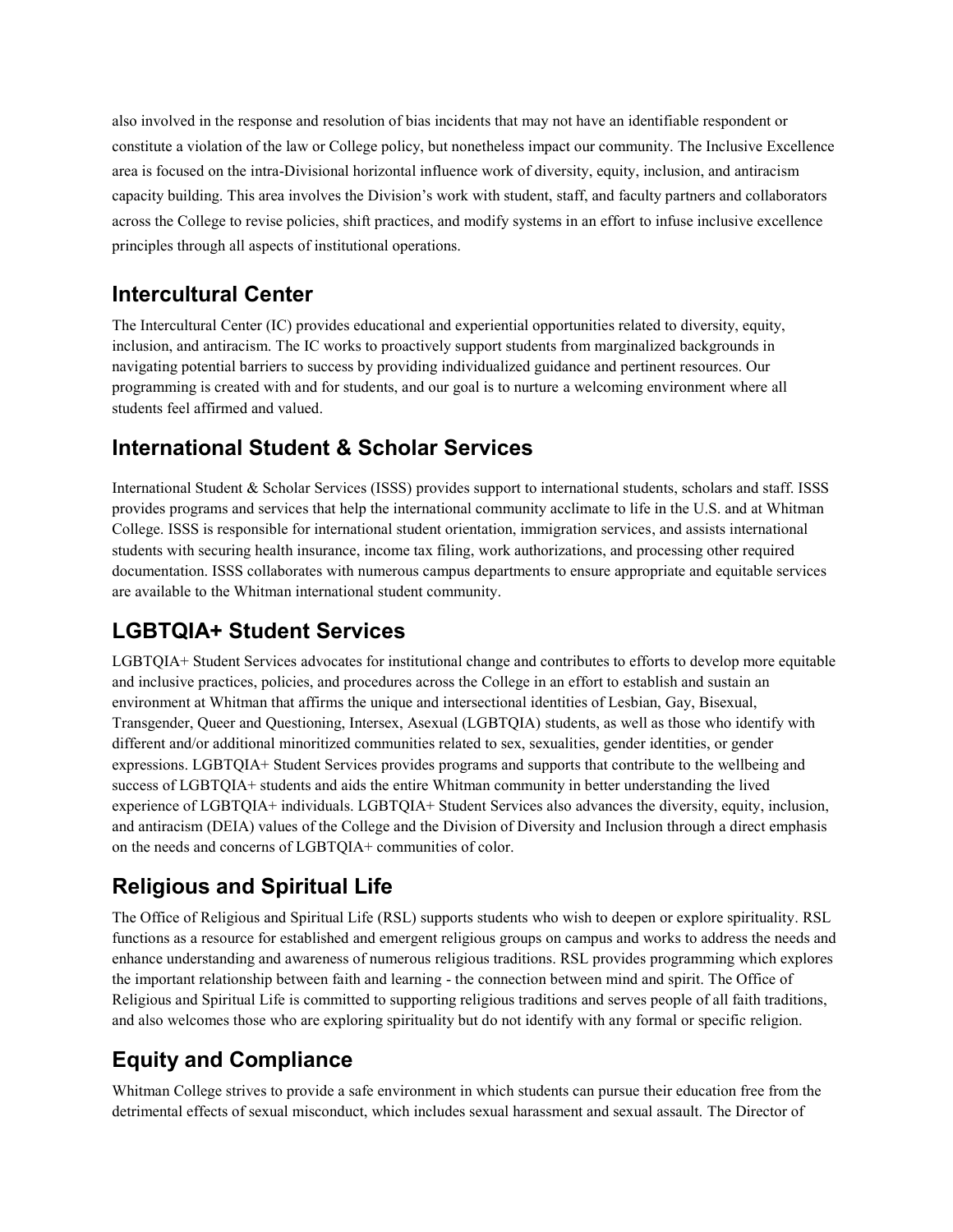also involved in the response and resolution of bias incidents that may not have an identifiable respondent or constitute a violation of the law or College policy, but nonetheless impact our community. The Inclusive Excellence area is focused on the intra-Divisional horizontal influence work of diversity, equity, inclusion, and antiracism capacity building. This area involves the Division's work with student, staff, and faculty partners and collaborators across the College to revise policies, shift practices, and modify systems in an effort to infuse inclusive excellence principles through all aspects of institutional operations.

#### **Intercultural Center**

The Intercultural Center (IC) provides educational and experiential opportunities related to diversity, equity, inclusion, and antiracism. The IC works to proactively support students from marginalized backgrounds in navigating potential barriers to success by providing individualized guidance and pertinent resources. Our programming is created with and for students, and our goal is to nurture a welcoming environment where all students feel affirmed and valued.

### **International Student & Scholar Services**

International Student & Scholar Services (ISSS) provides support to international students, scholars and staff. ISSS provides programs and services that help the international community acclimate to life in the U.S. and at Whitman College. ISSS is responsible for international student orientation, immigration services, and assists international students with securing health insurance, income tax filing, work authorizations, and processing other required documentation. ISSS collaborates with numerous campus departments to ensure appropriate and equitable services are available to the Whitman international student community.

## **LGBTQIA+ Student Services**

LGBTQIA+ Student Services advocates for institutional change and contributes to efforts to develop more equitable and inclusive practices, policies, and procedures across the College in an effort to establish and sustain an environment at Whitman that affirms the unique and intersectional identities of Lesbian, Gay, Bisexual, Transgender, Queer and Questioning, Intersex, Asexual (LGBTQIA) students, as well as those who identify with different and/or additional minoritized communities related to sex, sexualities, gender identities, or gender expressions. LGBTQIA+ Student Services provides programs and supports that contribute to the wellbeing and success of LGBTQIA+ students and aids the entire Whitman community in better understanding the lived experience of LGBTQIA+ individuals. LGBTQIA+ Student Services also advances the diversity, equity, inclusion, and antiracism (DEIA) values of the College and the Division of Diversity and Inclusion through a direct emphasis on the needs and concerns of LGBTQIA+ communities of color.

## **Religious and Spiritual Life**

The Office of Religious and Spiritual Life (RSL) supports students who wish to deepen or explore spirituality. RSL functions as a resource for established and emergent religious groups on campus and works to address the needs and enhance understanding and awareness of numerous religious traditions. RSL provides programming which explores the important relationship between faith and learning - the connection between mind and spirit. The Office of Religious and Spiritual Life is committed to supporting religious traditions and serves people of all faith traditions, and also welcomes those who are exploring spirituality but do not identify with any formal or specific religion.

## **Equity and Compliance**

Whitman College strives to provide a safe environment in which students can pursue their education free from the detrimental effects of sexual misconduct, which includes sexual harassment and sexual assault. The Director of